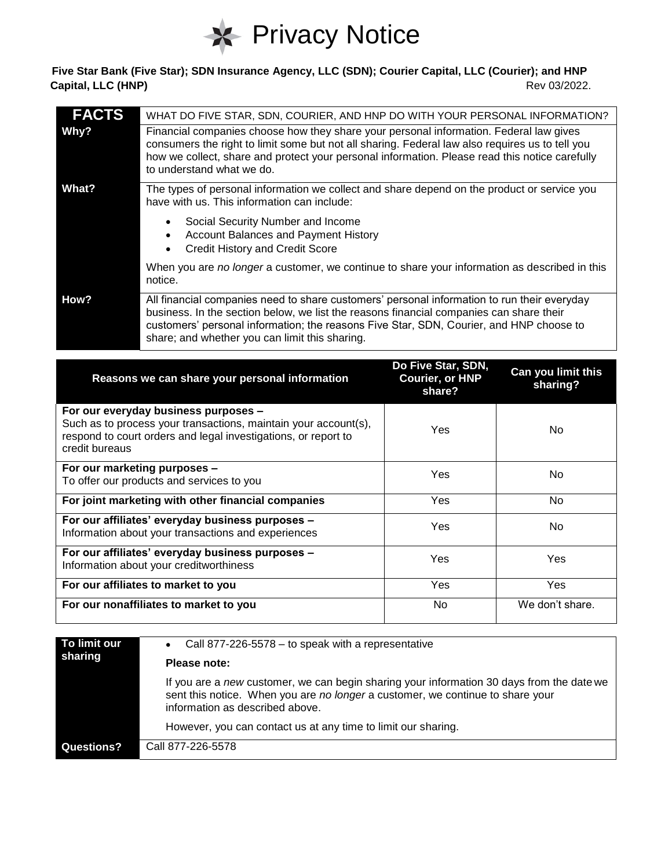

## **Five Star Bank (Five Star); SDN Insurance Agency, LLC (SDN); Courier Capital, LLC (Courier); and HNP Capital, LLC (HNP)** Rev 03/2022.

| <b>FACTS</b> | WHAT DO FIVE STAR, SDN, COURIER, AND HNP DO WITH YOUR PERSONAL INFORMATION?                                                                                                                                                                                                                                                         |
|--------------|-------------------------------------------------------------------------------------------------------------------------------------------------------------------------------------------------------------------------------------------------------------------------------------------------------------------------------------|
| Why?         | Financial companies choose how they share your personal information. Federal law gives<br>consumers the right to limit some but not all sharing. Federal law also requires us to tell you<br>how we collect, share and protect your personal information. Please read this notice carefully<br>to understand what we do.            |
| What?        | The types of personal information we collect and share depend on the product or service you<br>have with us. This information can include:                                                                                                                                                                                          |
|              | Social Security Number and Income<br><b>Account Balances and Payment History</b><br><b>Credit History and Credit Score</b>                                                                                                                                                                                                          |
|              | When you are no longer a customer, we continue to share your information as described in this<br>notice.                                                                                                                                                                                                                            |
| How?         | All financial companies need to share customers' personal information to run their everyday<br>business. In the section below, we list the reasons financial companies can share their<br>customers' personal information; the reasons Five Star, SDN, Courier, and HNP choose to<br>share; and whether you can limit this sharing. |

| Reasons we can share your personal information                                                                                                                                              | Do Five Star, SDN,<br><b>Courier, or HNP</b><br>share? | Can you limit this<br>sharing? |
|---------------------------------------------------------------------------------------------------------------------------------------------------------------------------------------------|--------------------------------------------------------|--------------------------------|
| For our everyday business purposes -<br>Such as to process your transactions, maintain your account(s),<br>respond to court orders and legal investigations, or report to<br>credit bureaus | Yes                                                    | No.                            |
| For our marketing purposes -<br>To offer our products and services to you                                                                                                                   | Yes                                                    | No.                            |
| For joint marketing with other financial companies                                                                                                                                          | Yes                                                    | No.                            |
| For our affiliates' everyday business purposes -<br>Information about your transactions and experiences                                                                                     | Yes                                                    | No.                            |
| For our affiliates' everyday business purposes -<br>Information about your creditworthiness                                                                                                 | Yes                                                    | Yes                            |
| For our affiliates to market to you                                                                                                                                                         | Yes                                                    | Yes                            |
| For our nonaffiliates to market to you                                                                                                                                                      | No.                                                    | We don't share.                |

| To limit our<br>sharing | Call 877-226-5578 – to speak with a representative<br>$\bullet$<br>Please note:                                                                                                                                |
|-------------------------|----------------------------------------------------------------------------------------------------------------------------------------------------------------------------------------------------------------|
|                         | If you are a new customer, we can begin sharing your information 30 days from the date we<br>sent this notice. When you are no longer a customer, we continue to share your<br>information as described above. |
|                         | However, you can contact us at any time to limit our sharing.                                                                                                                                                  |
| Questions?              | Call 877-226-5578                                                                                                                                                                                              |